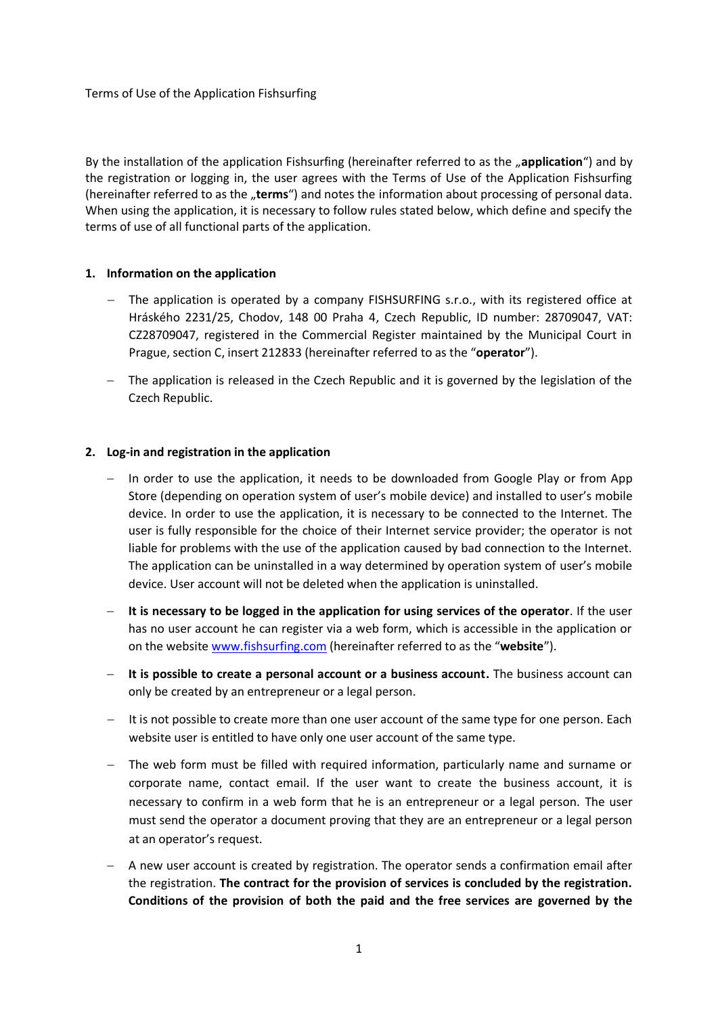By the installation of the application Fishsurfing (hereinafter referred to as the "**application**") and by the registration or logging in, the user agrees with the Terms of Use of the Application Fishsurfing (hereinafter referred to as the "terms") and notes the information about processing of personal data. When using the application, it is necessary to follow rules stated below, which define and specify the terms of use of all functional parts of the application.

### **1. Information on the application**

- The application is operated by a company FISHSURFING s.r.o., with its registered office at Hráského 2231/25, Chodov, 148 00 Praha 4, Czech Republic, ID number: 28709047, VAT: CZ28709047, registered in the Commercial Register maintained by the Municipal Court in Prague, section C, insert 212833 (hereinafter referred to as the "**operator**").
- The application is released in the Czech Republic and it is governed by the legislation of the Czech Republic.

#### **2. Log-in and registration in the application**

- $-$  In order to use the application, it needs to be downloaded from Google Play or from App Store (depending on operation system of user's mobile device) and installed to user's mobile device. In order to use the application, it is necessary to be connected to the Internet. The user is fully responsible for the choice of their Internet service provider; the operator is not liable for problems with the use of the application caused by bad connection to the Internet. The application can be uninstalled in a way determined by operation system of user's mobile device. User account will not be deleted when the application is uninstalled.
- **It is necessary to be logged in the application for using services of the operator**. If the user has no user account he can register via a web form, which is accessible in the application or on the websit[e www.fishsurfing.com](http://www.fishsurfing.com/) (hereinafter referred to as the "**website**").
- **It is possible to create a personal account or a business account.** The business account can only be created by an entrepreneur or a legal person.
- $-$  It is not possible to create more than one user account of the same type for one person. Each website user is entitled to have only one user account of the same type.
- The web form must be filled with required information, particularly name and surname or corporate name, contact email. If the user want to create the business account, it is necessary to confirm in a web form that he is an entrepreneur or a legal person. The user must send the operator a document proving that they are an entrepreneur or a legal person at an operator's request.
- A new user account is created by registration. The operator sends a confirmation email after the registration. **The contract for the provision of services is concluded by the registration. Conditions of the provision of both the paid and the free services are governed by the**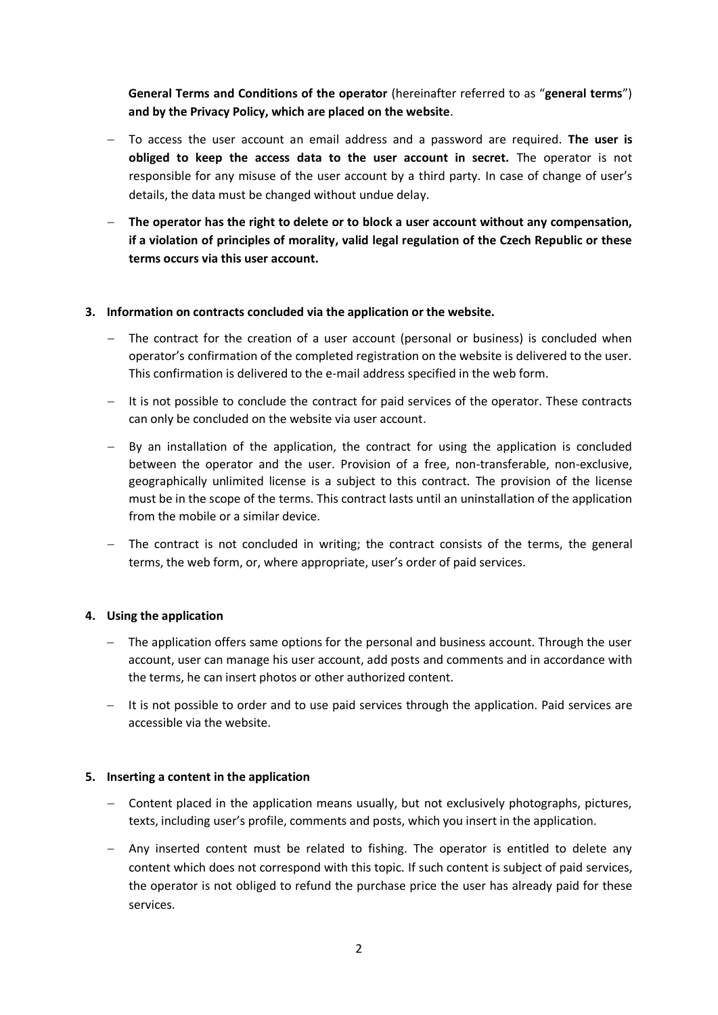**General Terms and Conditions of the operator** (hereinafter referred to as "**general terms**") **and by the Privacy Policy, which are placed on the website**.

- To access the user account an email address and a password are required. **The user is obliged to keep the access data to the user account in secret.** The operator is not responsible for any misuse of the user account by a third party. In case of change of user's details, the data must be changed without undue delay.
- **The operator has the right to delete or to block a user account without any compensation, if a violation of principles of morality, valid legal regulation of the Czech Republic or these terms occurs via this user account.**

## **3. Information on contracts concluded via the application or the website.**

- The contract for the creation of a user account (personal or business) is concluded when operator's confirmation of the completed registration on the website is delivered to the user. This confirmation is delivered to the e-mail address specified in the web form.
- $-$  It is not possible to conclude the contract for paid services of the operator. These contracts can only be concluded on the website via user account.
- $-$  By an installation of the application, the contract for using the application is concluded between the operator and the user. Provision of a free, non-transferable, non-exclusive, geographically unlimited license is a subject to this contract. The provision of the license must be in the scope of the terms. This contract lasts until an uninstallation of the application from the mobile or a similar device.
- $-$  The contract is not concluded in writing; the contract consists of the terms, the general terms, the web form, or, where appropriate, user's order of paid services.

### **4. Using the application**

- The application offers same options for the personal and business account. Through the user account, user can manage his user account, add posts and comments and in accordance with the terms, he can insert photos or other authorized content.
- $-$  It is not possible to order and to use paid services through the application. Paid services are accessible via the website.

### **5. Inserting a content in the application**

- Content placed in the application means usually, but not exclusively photographs, pictures, texts, including user's profile, comments and posts, which you insert in the application.
- Any inserted content must be related to fishing. The operator is entitled to delete any content which does not correspond with this topic. If such content is subject of paid services, the operator is not obliged to refund the purchase price the user has already paid for these services.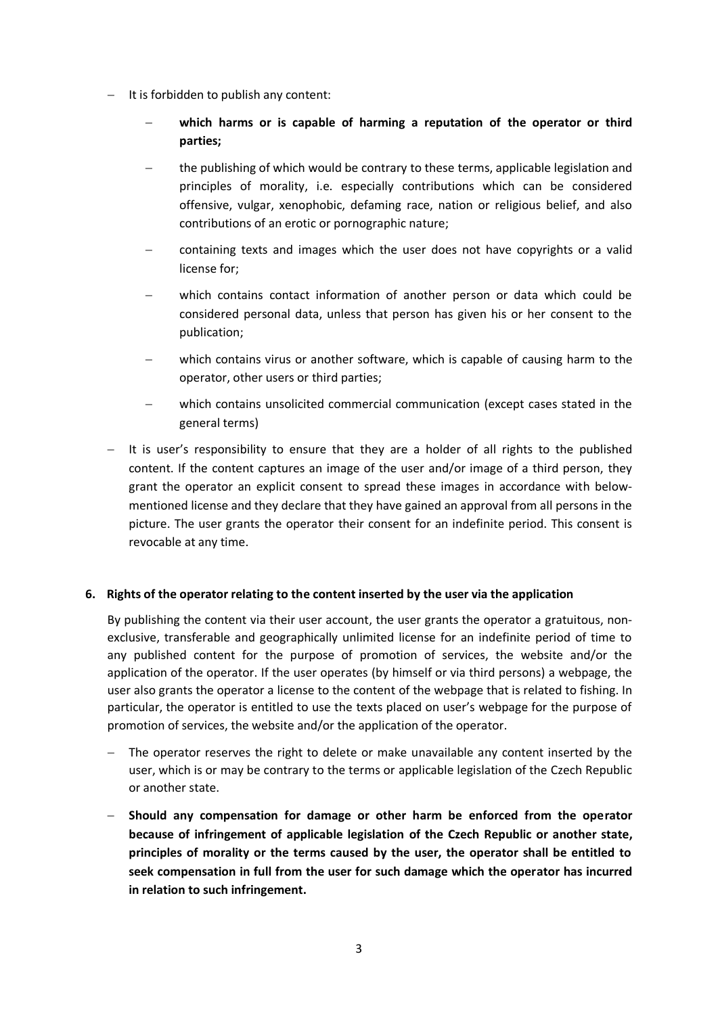- $-I$  It is forbidden to publish any content:
	- **which harms or is capable of harming a reputation of the operator or third parties;**
	- the publishing of which would be contrary to these terms, applicable legislation and principles of morality, i.e. especially contributions which can be considered offensive, vulgar, xenophobic, defaming race, nation or religious belief, and also contributions of an erotic or pornographic nature;
	- containing texts and images which the user does not have copyrights or a valid license for;
	- which contains contact information of another person or data which could be considered personal data, unless that person has given his or her consent to the publication;
	- which contains virus or another software, which is capable of causing harm to the operator, other users or third parties;
	- which contains unsolicited commercial communication (except cases stated in the general terms)
- $-$  It is user's responsibility to ensure that they are a holder of all rights to the published content. If the content captures an image of the user and/or image of a third person, they grant the operator an explicit consent to spread these images in accordance with belowmentioned license and they declare that they have gained an approval from all persons in the picture. The user grants the operator their consent for an indefinite period. This consent is revocable at any time.

# **6. Rights of the operator relating to the content inserted by the user via the application**

By publishing the content via their user account, the user grants the operator a gratuitous, nonexclusive, transferable and geographically unlimited license for an indefinite period of time to any published content for the purpose of promotion of services, the website and/or the application of the operator. If the user operates (by himself or via third persons) a webpage, the user also grants the operator a license to the content of the webpage that is related to fishing. In particular, the operator is entitled to use the texts placed on user's webpage for the purpose of promotion of services, the website and/or the application of the operator.

- The operator reserves the right to delete or make unavailable any content inserted by the user, which is or may be contrary to the terms or applicable legislation of the Czech Republic or another state.
- **Should any compensation for damage or other harm be enforced from the operator because of infringement of applicable legislation of the Czech Republic or another state, principles of morality or the terms caused by the user, the operator shall be entitled to seek compensation in full from the user for such damage which the operator has incurred in relation to such infringement.**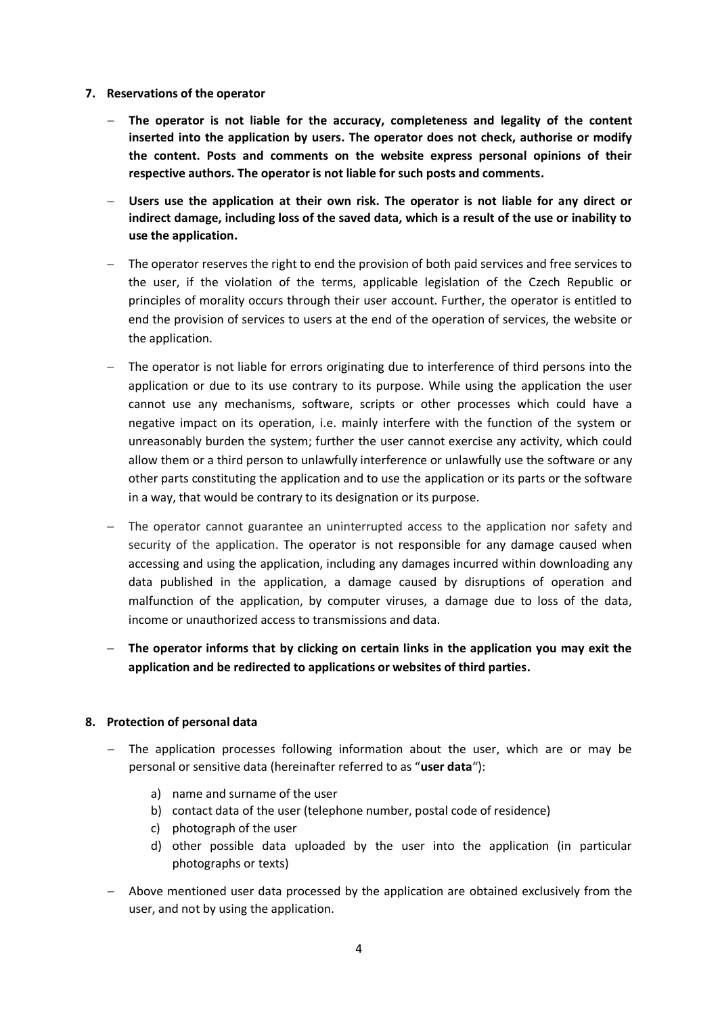- **7. Reservations of the operator**
	- **The operator is not liable for the accuracy, completeness and legality of the content inserted into the application by users. The operator does not check, authorise or modify the content. Posts and comments on the website express personal opinions of their respective authors. The operator is not liable for such posts and comments.**
	- **Users use the application at their own risk. The operator is not liable for any direct or indirect damage, including loss of the saved data, which is a result of the use or inability to use the application.**
	- The operator reserves the right to end the provision of both paid services and free services to the user, if the violation of the terms, applicable legislation of the Czech Republic or principles of morality occurs through their user account. Further, the operator is entitled to end the provision of services to users at the end of the operation of services, the website or the application.
	- The operator is not liable for errors originating due to interference of third persons into the application or due to its use contrary to its purpose. While using the application the user cannot use any mechanisms, software, scripts or other processes which could have a negative impact on its operation, i.e. mainly interfere with the function of the system or unreasonably burden the system; further the user cannot exercise any activity, which could allow them or a third person to unlawfully interference or unlawfully use the software or any other parts constituting the application and to use the application or its parts or the software in a way, that would be contrary to its designation or its purpose.
	- The operator cannot guarantee an uninterrupted access to the application nor safety and security of the application. The operator is not responsible for any damage caused when accessing and using the application, including any damages incurred within downloading any data published in the application, a damage caused by disruptions of operation and malfunction of the application, by computer viruses, a damage due to loss of the data, income or unauthorized access to transmissions and data.
	- **The operator informs that by clicking on certain links in the application you may exit the application and be redirected to applications or websites of third parties.**

### **8. Protection of personal data**

- The application processes following information about the user, which are or may be personal or sensitive data (hereinafter referred to as "**user data**"):
	- a) name and surname of the user
	- b) contact data of the user (telephone number, postal code of residence)
	- c) photograph of the user
	- d) other possible data uploaded by the user into the application (in particular photographs or texts)
- Above mentioned user data processed by the application are obtained exclusively from the user, and not by using the application.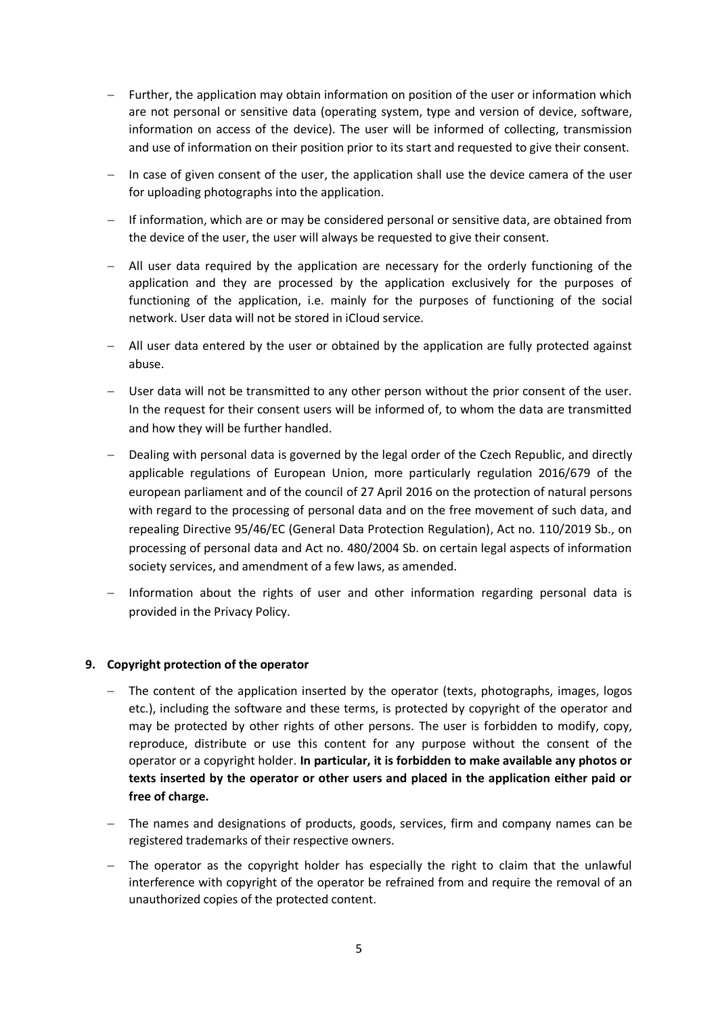- Further, the application may obtain information on position of the user or information which are not personal or sensitive data (operating system, type and version of device, software, information on access of the device). The user will be informed of collecting, transmission and use of information on their position prior to its start and requested to give their consent.
- $-$  In case of given consent of the user, the application shall use the device camera of the user for uploading photographs into the application.
- $-I$  If information, which are or may be considered personal or sensitive data, are obtained from the device of the user, the user will always be requested to give their consent.
- All user data required by the application are necessary for the orderly functioning of the application and they are processed by the application exclusively for the purposes of functioning of the application, i.e. mainly for the purposes of functioning of the social network. User data will not be stored in iCloud service.
- $-$  All user data entered by the user or obtained by the application are fully protected against abuse.
- User data will not be transmitted to any other person without the prior consent of the user. In the request for their consent users will be informed of, to whom the data are transmitted and how they will be further handled.
- Dealing with personal data is governed by the legal order of the Czech Republic, and directly applicable regulations of European Union, more particularly regulation 2016/679 of the european parliament and of the council of 27 April 2016 on the protection of natural persons with regard to the processing of personal data and on the free movement of such data, and repealing Directive 95/46/EC (General Data Protection Regulation), Act no. 110/2019 Sb., on processing of personal data and Act no. 480/2004 Sb. on certain legal aspects of information society services, and amendment of a few laws, as amended.
- $-$  Information about the rights of user and other information regarding personal data is provided in the Privacy Policy.

### **9. Copyright protection of the operator**

- The content of the application inserted by the operator (texts, photographs, images, logos etc.), including the software and these terms, is protected by copyright of the operator and may be protected by other rights of other persons. The user is forbidden to modify, copy, reproduce, distribute or use this content for any purpose without the consent of the operator or a copyright holder. **In particular, it is forbidden to make available any photos or texts inserted by the operator or other users and placed in the application either paid or free of charge.**
- The names and designations of products, goods, services, firm and company names can be registered trademarks of their respective owners.
- $-$  The operator as the copyright holder has especially the right to claim that the unlawful interference with copyright of the operator be refrained from and require the removal of an unauthorized copies of the protected content.